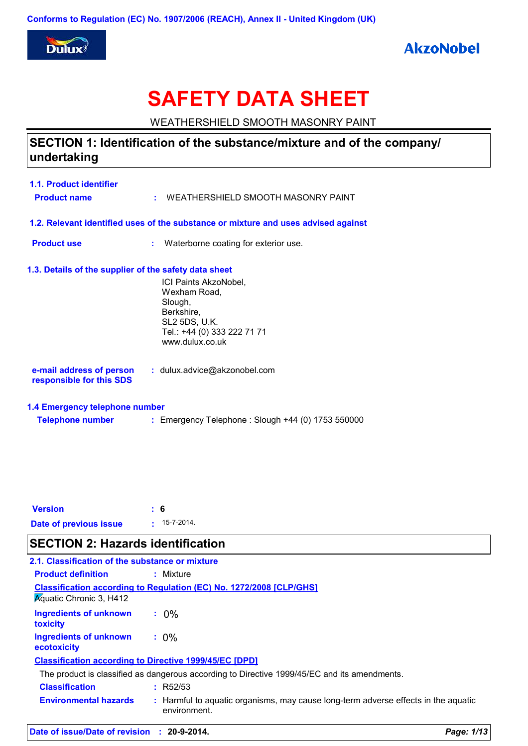

## **AkzoNobel**

# **SAFETY DATA SHEET**

WEATHERSHIELD SMOOTH MASONRY PAINT

## **SECTION 1: Identification of the substance/mixture and of the company/ undertaking**

| 1.1. Product identifier<br><b>Product name</b>            |    | : WEATHERSHIELD SMOOTH MASONRY PAINT                                                                                              |
|-----------------------------------------------------------|----|-----------------------------------------------------------------------------------------------------------------------------------|
|                                                           |    | 1.2. Relevant identified uses of the substance or mixture and uses advised against                                                |
| <b>Product use</b>                                        | ÷. | Waterborne coating for exterior use.                                                                                              |
| 1.3. Details of the supplier of the safety data sheet     |    | ICI Paints AkzoNobel,<br>Wexham Road.<br>Slough,<br>Berkshire,<br>SL2 5DS, U.K.<br>Tel.: +44 (0) 333 222 71 71<br>www.dulux.co.uk |
| e-mail address of person<br>responsible for this SDS      |    | : dulux.advice@akzonobel.com                                                                                                      |
| 1.4 Emergency telephone number<br><b>Telephone number</b> |    | : Emergency Telephone : Slough +44 (0) 1753 550000                                                                                |

| <b>Version</b>         | : 6                |
|------------------------|--------------------|
| Date of previous issue | $: 15 - 7 - 2014.$ |

## **SECTION 2: Hazards identification**

| 2.1. Classification of the substance or mixture |                                                                                                    |
|-------------------------------------------------|----------------------------------------------------------------------------------------------------|
| <b>Product definition</b>                       | : Mixture                                                                                          |
| <b>Aguatic Chronic 3, H412</b>                  | <b>Classification according to Regulation (EC) No. 1272/2008 [CLP/GHS]</b>                         |
| Ingredients of unknown<br>toxicity              | $: 0\%$                                                                                            |
| Ingredients of unknown<br>ecotoxicity           | $: 0\%$                                                                                            |
|                                                 | <b>Classification according to Directive 1999/45/EC [DPD]</b>                                      |
|                                                 | The product is classified as dangerous according to Directive 1999/45/EC and its amendments.       |
| <b>Classification</b>                           | : R52/53                                                                                           |
| <b>Environmental hazards</b>                    | : Harmful to aquatic organisms, may cause long-term adverse effects in the aquatic<br>environment. |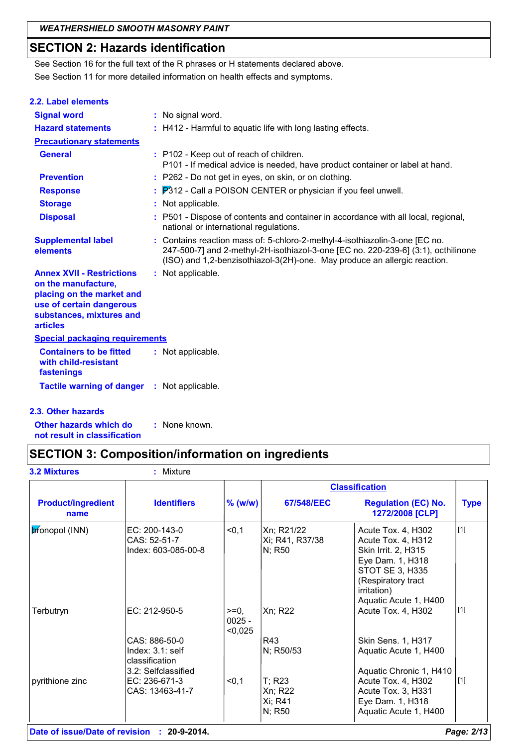## **SECTION 2: Hazards identification**

See Section 11 for more detailed information on health effects and symptoms. See Section 16 for the full text of the R phrases or H statements declared above.

| 2.2. Label elements                                                                                                                                             |                                                                                                                                                                                                                                               |
|-----------------------------------------------------------------------------------------------------------------------------------------------------------------|-----------------------------------------------------------------------------------------------------------------------------------------------------------------------------------------------------------------------------------------------|
| <b>Signal word</b>                                                                                                                                              | : No signal word.                                                                                                                                                                                                                             |
| <b>Hazard statements</b>                                                                                                                                        | : H412 - Harmful to aquatic life with long lasting effects.                                                                                                                                                                                   |
| <b>Precautionary statements</b>                                                                                                                                 |                                                                                                                                                                                                                                               |
| <b>General</b>                                                                                                                                                  | : P102 - Keep out of reach of children.<br>P101 - If medical advice is needed, have product container or label at hand.                                                                                                                       |
| <b>Prevention</b>                                                                                                                                               | : P262 - Do not get in eyes, on skin, or on clothing.                                                                                                                                                                                         |
| <b>Response</b>                                                                                                                                                 | $\therefore$ $P312$ - Call a POISON CENTER or physician if you feel unwell.                                                                                                                                                                   |
| <b>Storage</b>                                                                                                                                                  | : Not applicable.                                                                                                                                                                                                                             |
| <b>Disposal</b>                                                                                                                                                 | : P501 - Dispose of contents and container in accordance with all local, regional,<br>national or international regulations.                                                                                                                  |
| <b>Supplemental label</b><br>elements                                                                                                                           | : Contains reaction mass of: 5-chloro-2-methyl-4-isothiazolin-3-one [EC no.<br>247-500-7] and 2-methyl-2H-isothiazol-3-one [EC no. 220-239-6] (3:1), octhilinone<br>(ISO) and 1,2-benzisothiazol-3(2H)-one. May produce an allergic reaction. |
| <b>Annex XVII - Restrictions</b><br>on the manufacture,<br>placing on the market and<br>use of certain dangerous<br>substances, mixtures and<br><b>articles</b> | : Not applicable.                                                                                                                                                                                                                             |
| <b>Special packaging requirements</b>                                                                                                                           |                                                                                                                                                                                                                                               |
| <b>Containers to be fitted</b><br>with child-resistant<br>fastenings                                                                                            | : Not applicable.                                                                                                                                                                                                                             |
| <b>Tactile warning of danger</b>                                                                                                                                | : Not applicable.                                                                                                                                                                                                                             |

### **2.3. Other hazards**

**Other hazards which do : not result in classification** : None known.

## **SECTION 3: Composition/information on ingredients**

**3.2 Mixtures :** Mixture

|                                   |                                                                            |                               |                                           | <b>Classification</b>                                                                                                                                                        |             |
|-----------------------------------|----------------------------------------------------------------------------|-------------------------------|-------------------------------------------|------------------------------------------------------------------------------------------------------------------------------------------------------------------------------|-------------|
| <b>Product/ingredient</b><br>name | <b>Identifiers</b>                                                         | $%$ (w/w)                     | 67/548/EEC                                | <b>Regulation (EC) No.</b><br>1272/2008 [CLP]                                                                                                                                | <b>Type</b> |
| pronopol (INN)                    | EC: 200-143-0<br>CAS: 52-51-7<br>Index: 603-085-00-8                       | < 0, 1                        | Xn; R21/22<br>Xi; R41, R37/38<br>N; R50   | Acute Tox. 4, H302<br>Acute Tox. 4, H312<br>Skin Irrit. 2, H315<br>Eye Dam. 1, H318<br>STOT SE 3, H335<br>(Respiratory tract<br><i>irritation</i> )<br>Aquatic Acute 1, H400 | $[1]$       |
| Terbutryn                         | EC: 212-950-5                                                              | $>=0.$<br>$0025 -$<br>< 0,025 | Xn; R22                                   | Acute Tox. 4, H302                                                                                                                                                           | $\vert$ [1] |
|                                   | CAS: 886-50-0<br>Index: 3.1: self<br>classification<br>3.2: Selfclassified |                               | R43<br>N; R50/53                          | Skin Sens. 1, H317<br>Aquatic Acute 1, H400<br>Aquatic Chronic 1, H410                                                                                                       |             |
| pyrithione zinc                   | EC: 236-671-3<br>CAS: 13463-41-7                                           | < 0, 1                        | $T$ ; R23<br>Xn; R22<br>Xi; R41<br>N; R50 | Acute Tox. 4, H302<br>Acute Tox. 3, H331<br>Eye Dam. 1, H318<br>Aquatic Acute 1, H400                                                                                        | $[1]$       |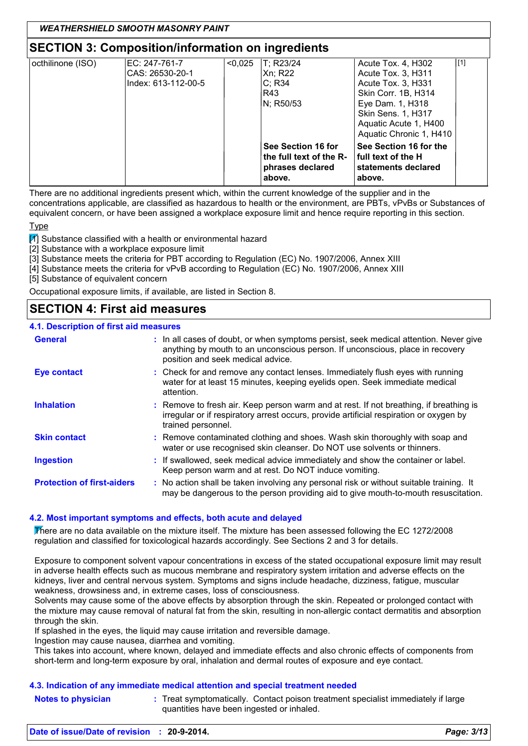## **SECTION 3: Composition/information on ingredients**

| octhilinone (ISO) | EC: 247-761-7       | < 0.025 | T: R23/24               | Acute Tox. 4, H302        | [1] |
|-------------------|---------------------|---------|-------------------------|---------------------------|-----|
|                   | CAS: 26530-20-1     |         | Xn; R22                 | Acute Tox. 3, H311        |     |
|                   | Index: 613-112-00-5 |         | C: R34                  | Acute Tox. 3, H331        |     |
|                   |                     |         | R43                     | Skin Corr. 1B, H314       |     |
|                   |                     |         | N; R50/53               | Eye Dam. 1, H318          |     |
|                   |                     |         |                         | <b>Skin Sens. 1, H317</b> |     |
|                   |                     |         |                         | Aquatic Acute 1, H400     |     |
|                   |                     |         |                         | Aquatic Chronic 1, H410   |     |
|                   |                     |         | See Section 16 for      | See Section 16 for the    |     |
|                   |                     |         | the full text of the R- | l full text of the H      |     |
|                   |                     |         | phrases declared        | statements declared       |     |
|                   |                     |         | above.                  | above.                    |     |

There are no additional ingredients present which, within the current knowledge of the supplier and in the concentrations applicable, are classified as hazardous to health or the environment, are PBTs, vPvBs or Substances of equivalent concern, or have been assigned a workplace exposure limit and hence require reporting in this section.

Type

 $\boxed{1}$  Substance classified with a health or environmental hazard

[2] Substance with a workplace exposure limit

[3] Substance meets the criteria for PBT according to Regulation (EC) No. 1907/2006, Annex XIII

[4] Substance meets the criteria for vPvB according to Regulation (EC) No. 1907/2006, Annex XIII

[5] Substance of equivalent concern

Occupational exposure limits, if available, are listed in Section 8.

### **SECTION 4: First aid measures**

### **4.1. Description of first aid measures**

| <b>General</b>                    | : In all cases of doubt, or when symptoms persist, seek medical attention. Never give<br>anything by mouth to an unconscious person. If unconscious, place in recovery<br>position and seek medical advice. |
|-----------------------------------|-------------------------------------------------------------------------------------------------------------------------------------------------------------------------------------------------------------|
| <b>Eye contact</b>                | : Check for and remove any contact lenses. Immediately flush eyes with running<br>water for at least 15 minutes, keeping eyelids open. Seek immediate medical<br>attention.                                 |
| <b>Inhalation</b>                 | : Remove to fresh air. Keep person warm and at rest. If not breathing, if breathing is<br>irregular or if respiratory arrest occurs, provide artificial respiration or oxygen by<br>trained personnel.      |
| <b>Skin contact</b>               | : Remove contaminated clothing and shoes. Wash skin thoroughly with soap and<br>water or use recognised skin cleanser. Do NOT use solvents or thinners.                                                     |
| <b>Ingestion</b>                  | : If swallowed, seek medical advice immediately and show the container or label.<br>Keep person warm and at rest. Do NOT induce vomiting.                                                                   |
| <b>Protection of first-aiders</b> | : No action shall be taken involving any personal risk or without suitable training. It<br>may be dangerous to the person providing aid to give mouth-to-mouth resuscitation.                               |

### **4.2. Most important symptoms and effects, both acute and delayed**

There are no data available on the mixture itself. The mixture has been assessed following the EC 1272/2008 regulation and classified for toxicological hazards accordingly. See Sections 2 and 3 for details.

Exposure to component solvent vapour concentrations in excess of the stated occupational exposure limit may result in adverse health effects such as mucous membrane and respiratory system irritation and adverse effects on the kidneys, liver and central nervous system. Symptoms and signs include headache, dizziness, fatigue, muscular weakness, drowsiness and, in extreme cases, loss of consciousness.

Solvents may cause some of the above effects by absorption through the skin. Repeated or prolonged contact with the mixture may cause removal of natural fat from the skin, resulting in non-allergic contact dermatitis and absorption through the skin.

If splashed in the eyes, the liquid may cause irritation and reversible damage.

Ingestion may cause nausea, diarrhea and vomiting.

This takes into account, where known, delayed and immediate effects and also chronic effects of components from short-term and long-term exposure by oral, inhalation and dermal routes of exposure and eye contact.

### **4.3. Indication of any immediate medical attention and special treatment needed**

**Notes to physician** : Treat symptomatically. Contact poison treatment specialist immediately if large quantities have been ingested or inhaled.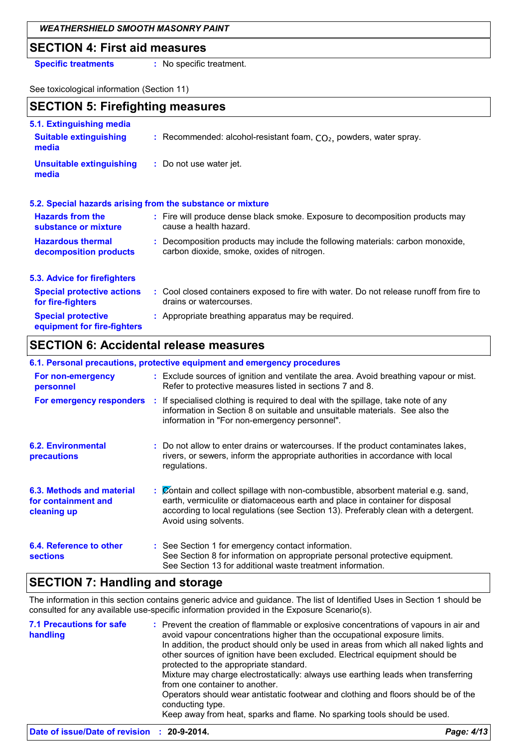### *WEATHERSHIELD SMOOTH MASONRY PAINT*

### **SECTION 4: First aid measures**

**Specific treatments :** No specific treatment.

See toxicological information (Section 11)

| <b>SECTION 5: Firefighting measures</b>                            |                                                                                                                              |  |  |
|--------------------------------------------------------------------|------------------------------------------------------------------------------------------------------------------------------|--|--|
| 5.1. Extinguishing media<br><b>Suitable extinguishing</b><br>media | : Recommended: alcohol-resistant foam, $CO2$ , powders, water spray.                                                         |  |  |
| Unsuitable extinguishing<br>media                                  | : Do not use water jet.                                                                                                      |  |  |
|                                                                    | 5.2. Special hazards arising from the substance or mixture                                                                   |  |  |
| <b>Hazards from the</b><br>substance or mixture                    | : Fire will produce dense black smoke. Exposure to decomposition products may<br>cause a health hazard.                      |  |  |
| <b>Hazardous thermal</b><br>decomposition products                 | : Decomposition products may include the following materials: carbon monoxide,<br>carbon dioxide, smoke, oxides of nitrogen. |  |  |
| 5.3. Advice for firefighters                                       |                                                                                                                              |  |  |
| <b>Special protective actions</b><br>for fire-fighters             | : Cool closed containers exposed to fire with water. Do not release runoff from fire to<br>drains or watercourses.           |  |  |
| <b>Special protective</b><br>equipment for fire-fighters           | : Appropriate breathing apparatus may be required.                                                                           |  |  |

## **SECTION 6: Accidental release measures**

|                                                                 | 6.1. Personal precautions, protective equipment and emergency procedures                                                                                                                                                                                                           |
|-----------------------------------------------------------------|------------------------------------------------------------------------------------------------------------------------------------------------------------------------------------------------------------------------------------------------------------------------------------|
| For non-emergency<br>personnel                                  | : Exclude sources of ignition and ventilate the area. Avoid breathing vapour or mist.<br>Refer to protective measures listed in sections 7 and 8.                                                                                                                                  |
| For emergency responders                                        | : If specialised clothing is required to deal with the spillage, take note of any<br>information in Section 8 on suitable and unsuitable materials. See also the<br>information in "For non-emergency personnel".                                                                  |
| <b>6.2. Environmental</b><br>precautions                        | : Do not allow to enter drains or watercourses. If the product contaminates lakes,<br>rivers, or sewers, inform the appropriate authorities in accordance with local<br>regulations.                                                                                               |
| 6.3. Methods and material<br>for containment and<br>cleaning up | : Contain and collect spillage with non-combustible, absorbent material e.g. sand,<br>earth, vermiculite or diatomaceous earth and place in container for disposal<br>according to local regulations (see Section 13). Preferably clean with a detergent.<br>Avoid using solvents. |
| 6.4. Reference to other<br><b>sections</b>                      | : See Section 1 for emergency contact information.<br>See Section 8 for information on appropriate personal protective equipment.<br>See Section 13 for additional waste treatment information.                                                                                    |

## **SECTION 7: Handling and storage**

The information in this section contains generic advice and guidance. The list of Identified Uses in Section 1 should be consulted for any available use-specific information provided in the Exposure Scenario(s).

| <b>7.1 Precautions for safe</b><br>handling | : Prevent the creation of flammable or explosive concentrations of vapours in air and<br>avoid vapour concentrations higher than the occupational exposure limits.<br>In addition, the product should only be used in areas from which all naked lights and<br>other sources of ignition have been excluded. Electrical equipment should be<br>protected to the appropriate standard.<br>Mixture may charge electrostatically: always use earthing leads when transferring<br>from one container to another.<br>Operators should wear antistatic footwear and clothing and floors should be of the<br>conducting type.<br>Keep away from heat, sparks and flame. No sparking tools should be used. |
|---------------------------------------------|----------------------------------------------------------------------------------------------------------------------------------------------------------------------------------------------------------------------------------------------------------------------------------------------------------------------------------------------------------------------------------------------------------------------------------------------------------------------------------------------------------------------------------------------------------------------------------------------------------------------------------------------------------------------------------------------------|
|---------------------------------------------|----------------------------------------------------------------------------------------------------------------------------------------------------------------------------------------------------------------------------------------------------------------------------------------------------------------------------------------------------------------------------------------------------------------------------------------------------------------------------------------------------------------------------------------------------------------------------------------------------------------------------------------------------------------------------------------------------|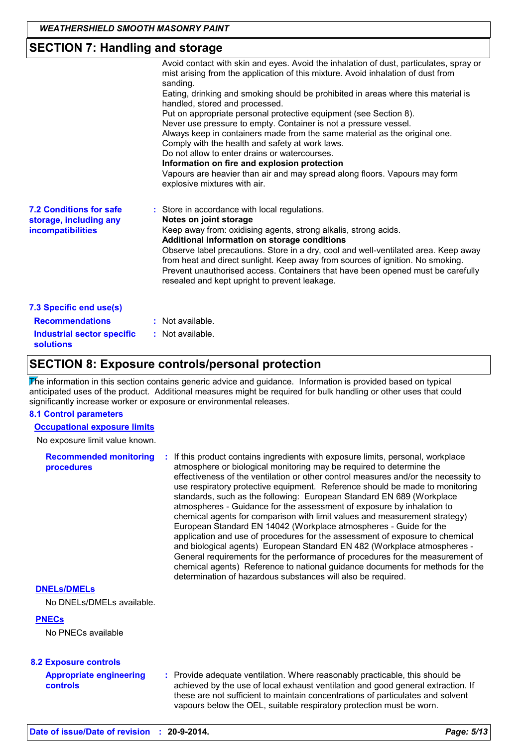## **SECTION 7: Handling and storage**

|                                                                                                     | Avoid contact with skin and eyes. Avoid the inhalation of dust, particulates, spray or<br>mist arising from the application of this mixture. Avoid inhalation of dust from<br>sanding.<br>Eating, drinking and smoking should be prohibited in areas where this material is<br>handled, stored and processed.<br>Put on appropriate personal protective equipment (see Section 8).<br>Never use pressure to empty. Container is not a pressure vessel.<br>Always keep in containers made from the same material as the original one.<br>Comply with the health and safety at work laws.<br>Do not allow to enter drains or watercourses.<br>Information on fire and explosion protection<br>Vapours are heavier than air and may spread along floors. Vapours may form<br>explosive mixtures with air. |
|-----------------------------------------------------------------------------------------------------|--------------------------------------------------------------------------------------------------------------------------------------------------------------------------------------------------------------------------------------------------------------------------------------------------------------------------------------------------------------------------------------------------------------------------------------------------------------------------------------------------------------------------------------------------------------------------------------------------------------------------------------------------------------------------------------------------------------------------------------------------------------------------------------------------------|
| <b>7.2 Conditions for safe</b><br>storage, including any<br><b>incompatibilities</b>                | : Store in accordance with local regulations.<br>Notes on joint storage<br>Keep away from: oxidising agents, strong alkalis, strong acids.<br>Additional information on storage conditions<br>Observe label precautions. Store in a dry, cool and well-ventilated area. Keep away<br>from heat and direct sunlight. Keep away from sources of ignition. No smoking.<br>Prevent unauthorised access. Containers that have been opened must be carefully<br>resealed and kept upright to prevent leakage.                                                                                                                                                                                                                                                                                                |
| 7.3 Specific end use(s)<br><b>Recommendations</b><br>Industrial sector specific<br><b>solutions</b> | : Not available.<br>: Not available.                                                                                                                                                                                                                                                                                                                                                                                                                                                                                                                                                                                                                                                                                                                                                                   |

## **SECTION 8: Exposure controls/personal protection**

The information in this section contains generic advice and guidance. Information is provided based on typical anticipated uses of the product. Additional measures might be required for bulk handling or other uses that could significantly increase worker or exposure or environmental releases.

### **8.1 Control parameters**

**Occupational exposure limits**

No exposure limit value known.

**Recommended monitoring procedures :** If this product contains ingredients with exposure limits, personal, workplace atmosphere or biological monitoring may be required to determine the effectiveness of the ventilation or other control measures and/or the necessity to use respiratory protective equipment. Reference should be made to monitoring standards, such as the following: European Standard EN 689 (Workplace atmospheres - Guidance for the assessment of exposure by inhalation to chemical agents for comparison with limit values and measurement strategy) European Standard EN 14042 (Workplace atmospheres - Guide for the application and use of procedures for the assessment of exposure to chemical and biological agents) European Standard EN 482 (Workplace atmospheres - General requirements for the performance of procedures for the measurement of chemical agents) Reference to national guidance documents for methods for the determination of hazardous substances will also be required.

### **DNELs/DMELs**

No DNELs/DMELs available.

### **PNECs**

No PNECs available

### **8.2 Exposure controls**

| <b>Appropriate engineering</b> | : Provide adequate ventilation. Where reasonably practicable, this should be     |
|--------------------------------|----------------------------------------------------------------------------------|
| <b>controls</b>                | achieved by the use of local exhaust ventilation and good general extraction. If |
|                                | these are not sufficient to maintain concentrations of particulates and solvent  |
|                                | vapours below the OEL, suitable respiratory protection must be worn.             |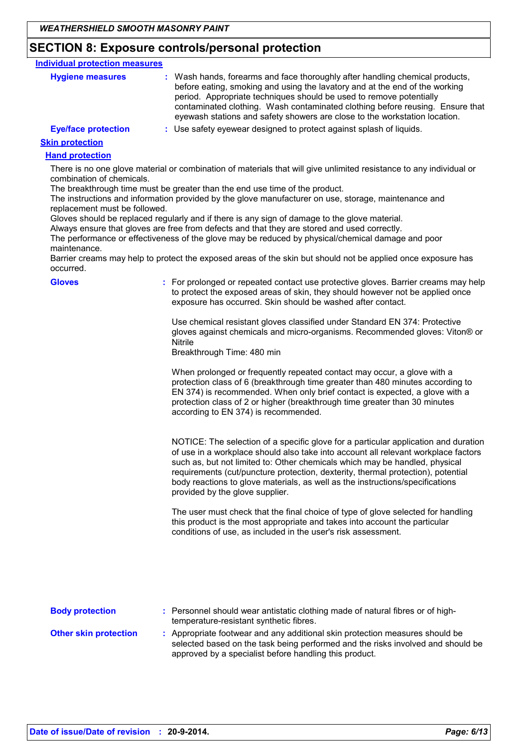## **SECTION 8: Exposure controls/personal protection**

| <b>Individual protection measures</b> |                                                                                                                                                                                                                                                                                                                                                                                                   |
|---------------------------------------|---------------------------------------------------------------------------------------------------------------------------------------------------------------------------------------------------------------------------------------------------------------------------------------------------------------------------------------------------------------------------------------------------|
| <b>Hygiene measures</b>               | : Wash hands, forearms and face thoroughly after handling chemical products,<br>before eating, smoking and using the lavatory and at the end of the working<br>period. Appropriate techniques should be used to remove potentially<br>contaminated clothing. Wash contaminated clothing before reusing. Ensure that<br>eyewash stations and safety showers are close to the workstation location. |
| <b>Eye/face protection</b>            | : Use safety eyewear designed to protect against splash of liquids.                                                                                                                                                                                                                                                                                                                               |
| <b>Skin protection</b>                |                                                                                                                                                                                                                                                                                                                                                                                                   |
| <b>Hand protection</b>                |                                                                                                                                                                                                                                                                                                                                                                                                   |
|                                       | There is no one alove material or combination of materials that will give unlimited resistance to any individual or                                                                                                                                                                                                                                                                               |

There is no one glove material or combination of materials that will give unlimited resistance to any individual or combination of chemicals.

The breakthrough time must be greater than the end use time of the product.

The instructions and information provided by the glove manufacturer on use, storage, maintenance and replacement must be followed.

Gloves should be replaced regularly and if there is any sign of damage to the glove material.

Always ensure that gloves are free from defects and that they are stored and used correctly.

The performance or effectiveness of the glove may be reduced by physical/chemical damage and poor maintenance.

Barrier creams may help to protect the exposed areas of the skin but should not be applied once exposure has occurred.

| occurred.                    |                                                                                                                                                                                                                                                                                                                                                                                                                                                                  |
|------------------------------|------------------------------------------------------------------------------------------------------------------------------------------------------------------------------------------------------------------------------------------------------------------------------------------------------------------------------------------------------------------------------------------------------------------------------------------------------------------|
| <b>Gloves</b>                | : For prolonged or repeated contact use protective gloves. Barrier creams may help<br>to protect the exposed areas of skin, they should however not be applied once<br>exposure has occurred. Skin should be washed after contact.                                                                                                                                                                                                                               |
|                              | Use chemical resistant gloves classified under Standard EN 374: Protective<br>gloves against chemicals and micro-organisms. Recommended gloves: Viton® or<br><b>Nitrile</b><br>Breakthrough Time: 480 min                                                                                                                                                                                                                                                        |
|                              | When prolonged or frequently repeated contact may occur, a glove with a<br>protection class of 6 (breakthrough time greater than 480 minutes according to<br>EN 374) is recommended. When only brief contact is expected, a glove with a<br>protection class of 2 or higher (breakthrough time greater than 30 minutes<br>according to EN 374) is recommended.                                                                                                   |
|                              | NOTICE: The selection of a specific glove for a particular application and duration<br>of use in a workplace should also take into account all relevant workplace factors<br>such as, but not limited to: Other chemicals which may be handled, physical<br>requirements (cut/puncture protection, dexterity, thermal protection), potential<br>body reactions to glove materials, as well as the instructions/specifications<br>provided by the glove supplier. |
|                              | The user must check that the final choice of type of glove selected for handling<br>this product is the most appropriate and takes into account the particular<br>conditions of use, as included in the user's risk assessment.                                                                                                                                                                                                                                  |
|                              |                                                                                                                                                                                                                                                                                                                                                                                                                                                                  |
| <b>Body protection</b>       | : Personnel should wear antistatic clothing made of natural fibres or of high-<br>temperature-resistant synthetic fibres.                                                                                                                                                                                                                                                                                                                                        |
| <b>Other skin protection</b> | : Appropriate footwear and any additional skin protection measures should be<br>selected based on the task being performed and the risks involved and should be<br>approved by a specialist before handling this product.                                                                                                                                                                                                                                        |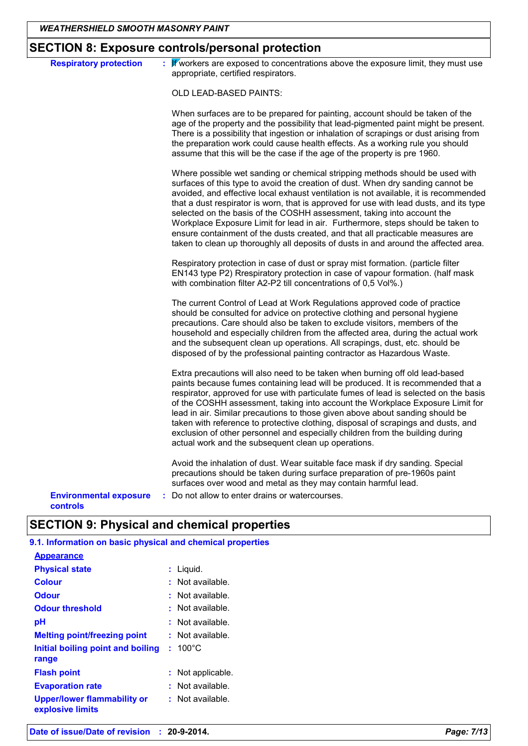## **SECTION 8: Exposure controls/personal protection**

| <b>Respiratory protection</b>                    | : Wworkers are exposed to concentrations above the exposure limit, they must use<br>appropriate, certified respirators.                                                                                                                                                                                                                                                                                                                                                                                                                                                                                                                                                                 |
|--------------------------------------------------|-----------------------------------------------------------------------------------------------------------------------------------------------------------------------------------------------------------------------------------------------------------------------------------------------------------------------------------------------------------------------------------------------------------------------------------------------------------------------------------------------------------------------------------------------------------------------------------------------------------------------------------------------------------------------------------------|
|                                                  | OLD LEAD-BASED PAINTS:                                                                                                                                                                                                                                                                                                                                                                                                                                                                                                                                                                                                                                                                  |
|                                                  | When surfaces are to be prepared for painting, account should be taken of the<br>age of the property and the possibility that lead-pigmented paint might be present.<br>There is a possibility that ingestion or inhalation of scrapings or dust arising from<br>the preparation work could cause health effects. As a working rule you should<br>assume that this will be the case if the age of the property is pre 1960.                                                                                                                                                                                                                                                             |
|                                                  | Where possible wet sanding or chemical stripping methods should be used with<br>surfaces of this type to avoid the creation of dust. When dry sanding cannot be<br>avoided, and effective local exhaust ventilation is not available, it is recommended<br>that a dust respirator is worn, that is approved for use with lead dusts, and its type<br>selected on the basis of the COSHH assessment, taking into account the<br>Workplace Exposure Limit for lead in air. Furthermore, steps should be taken to<br>ensure containment of the dusts created, and that all practicable measures are<br>taken to clean up thoroughly all deposits of dusts in and around the affected area. |
|                                                  | Respiratory protection in case of dust or spray mist formation. (particle filter<br>EN143 type P2) Rrespiratory protection in case of vapour formation. (half mask<br>with combination filter A2-P2 till concentrations of 0,5 Vol%.)                                                                                                                                                                                                                                                                                                                                                                                                                                                   |
|                                                  | The current Control of Lead at Work Regulations approved code of practice<br>should be consulted for advice on protective clothing and personal hygiene<br>precautions. Care should also be taken to exclude visitors, members of the<br>household and especially children from the affected area, during the actual work<br>and the subsequent clean up operations. All scrapings, dust, etc. should be<br>disposed of by the professional painting contractor as Hazardous Waste.                                                                                                                                                                                                     |
|                                                  | Extra precautions will also need to be taken when burning off old lead-based<br>paints because fumes containing lead will be produced. It is recommended that a<br>respirator, approved for use with particulate fumes of lead is selected on the basis<br>of the COSHH assessment, taking into account the Workplace Exposure Limit for<br>lead in air. Similar precautions to those given above about sanding should be<br>taken with reference to protective clothing, disposal of scrapings and dusts, and<br>exclusion of other personnel and especially children from the building during<br>actual work and the subsequent clean up operations.                                  |
|                                                  | Avoid the inhalation of dust. Wear suitable face mask if dry sanding. Special<br>precautions should be taken during surface preparation of pre-1960s paint<br>surfaces over wood and metal as they may contain harmful lead.                                                                                                                                                                                                                                                                                                                                                                                                                                                            |
| <b>Environmental exposure</b><br><b>controls</b> | : Do not allow to enter drains or watercourses.                                                                                                                                                                                                                                                                                                                                                                                                                                                                                                                                                                                                                                         |

**9.1. Information on basic physical and chemical properties**

| <b>Appearance</b>                                      |                   |
|--------------------------------------------------------|-------------------|
| <b>Physical state</b>                                  | : Liquid.         |
| <b>Colour</b>                                          | : Not available.  |
| <b>Odour</b>                                           | : Not available.  |
| <b>Odour threshold</b>                                 | : Not available.  |
| рH                                                     | : Not available.  |
| <b>Melting point/freezing point</b>                    | : Not available.  |
| Initial boiling point and boiling<br>range             | $: 100^{\circ}$ C |
| <b>Flash point</b>                                     | Not applicable.   |
| <b>Evaporation rate</b>                                | Not available.    |
| <b>Upper/lower flammability or</b><br>explosive limits | : Not available.  |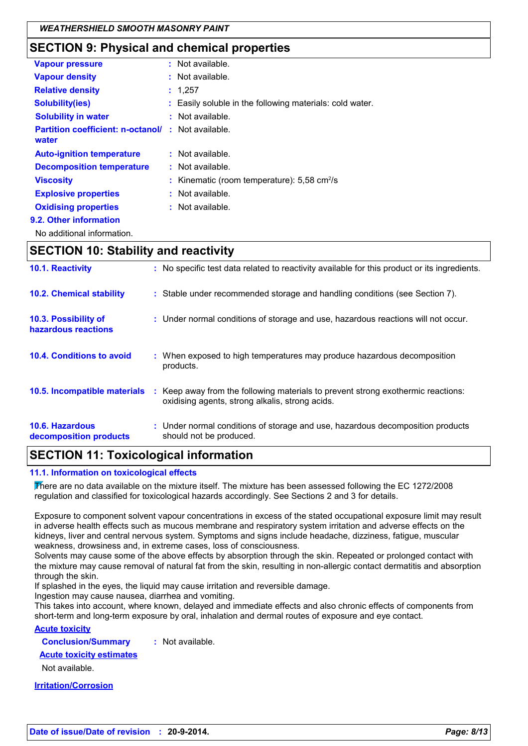## **SECTION 9: Physical and chemical properties**

| <b>Vapour pressure</b>                                             | $:$ Not available.                                           |
|--------------------------------------------------------------------|--------------------------------------------------------------|
| <b>Vapour density</b>                                              | $:$ Not available.                                           |
| <b>Relative density</b>                                            | : 1,257                                                      |
| <b>Solubility(ies)</b>                                             | : Easily soluble in the following materials: cold water.     |
| <b>Solubility in water</b>                                         | $:$ Not available.                                           |
| <b>Partition coefficient: n-octanol/ : Not available.</b><br>water |                                                              |
| <b>Auto-ignition temperature</b>                                   | $:$ Not available.                                           |
| <b>Decomposition temperature</b>                                   | : Not available.                                             |
| <b>Viscosity</b>                                                   | : Kinematic (room temperature): $5.58 \text{ cm}^2/\text{s}$ |
| <b>Explosive properties</b>                                        | $:$ Not available.                                           |
| <b>Oxidising properties</b>                                        | $:$ Not available.                                           |
| 9.2. Other information                                             |                                                              |
|                                                                    |                                                              |

No additional information.

### **SECTION 10: Stability and reactivity**

| 10.1. Reactivity                            | : No specific test data related to reactivity available for this product or its ingredients.                                        |
|---------------------------------------------|-------------------------------------------------------------------------------------------------------------------------------------|
| <b>10.2. Chemical stability</b>             | : Stable under recommended storage and handling conditions (see Section 7).                                                         |
| 10.3. Possibility of<br>hazardous reactions | : Under normal conditions of storage and use, hazardous reactions will not occur.                                                   |
| 10.4. Conditions to avoid                   | : When exposed to high temperatures may produce hazardous decomposition<br>products.                                                |
| 10.5. Incompatible materials                | : Keep away from the following materials to prevent strong exothermic reactions:<br>oxidising agents, strong alkalis, strong acids. |
| 10.6. Hazardous<br>decomposition products   | : Under normal conditions of storage and use, hazardous decomposition products<br>should not be produced.                           |

## **SECTION 11: Toxicological information**

### **11.1. Information on toxicological effects**

There are no data available on the mixture itself. The mixture has been assessed following the EC 1272/2008 regulation and classified for toxicological hazards accordingly. See Sections 2 and 3 for details.

Exposure to component solvent vapour concentrations in excess of the stated occupational exposure limit may result in adverse health effects such as mucous membrane and respiratory system irritation and adverse effects on the kidneys, liver and central nervous system. Symptoms and signs include headache, dizziness, fatigue, muscular weakness, drowsiness and, in extreme cases, loss of consciousness.

Solvents may cause some of the above effects by absorption through the skin. Repeated or prolonged contact with the mixture may cause removal of natural fat from the skin, resulting in non-allergic contact dermatitis and absorption through the skin.

If splashed in the eyes, the liquid may cause irritation and reversible damage.

Ingestion may cause nausea, diarrhea and vomiting.

This takes into account, where known, delayed and immediate effects and also chronic effects of components from short-term and long-term exposure by oral, inhalation and dermal routes of exposure and eye contact.

### **Acute toxicity**

**Conclusion/Summary :** Not available.

**Acute toxicity estimates**

Not available.

**Irritation/Corrosion**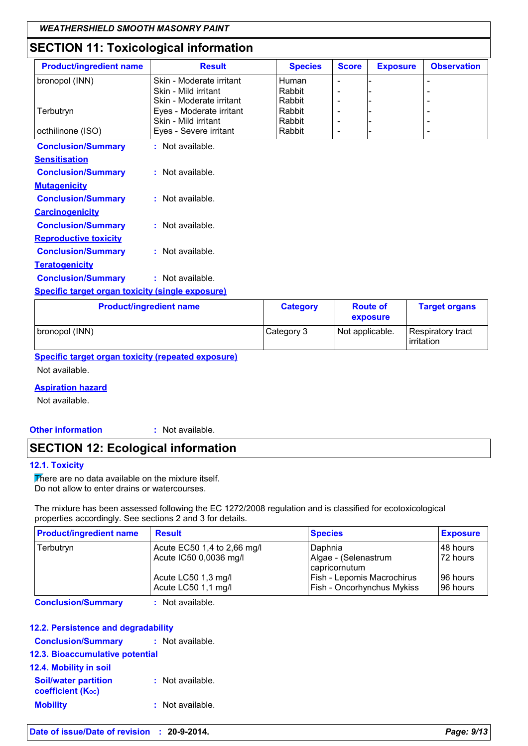## **SECTION 11: Toxicological information**

| <b>Product/ingredient name</b>                          | <b>Result</b>            | <b>Species</b> | <b>Score</b> | <b>Exposure</b> | <b>Observation</b> |
|---------------------------------------------------------|--------------------------|----------------|--------------|-----------------|--------------------|
| bronopol (INN)                                          | Skin - Moderate irritant | Human          |              |                 |                    |
|                                                         | Skin - Mild irritant     | Rabbit         |              |                 |                    |
|                                                         | Skin - Moderate irritant | Rabbit         |              |                 |                    |
| Terbutryn                                               | Eyes - Moderate irritant | Rabbit         |              |                 |                    |
|                                                         | Skin - Mild irritant     | Rabbit         |              |                 |                    |
| octhilinone (ISO)                                       | Eyes - Severe irritant   | Rabbit         | ۰            |                 |                    |
| <b>Conclusion/Summary</b>                               | : Not available.         |                |              |                 |                    |
| <b>Sensitisation</b>                                    |                          |                |              |                 |                    |
| <b>Conclusion/Summary</b>                               | $:$ Not available.       |                |              |                 |                    |
| <b>Mutagenicity</b>                                     |                          |                |              |                 |                    |
| <b>Conclusion/Summary</b>                               | $:$ Not available.       |                |              |                 |                    |
| <b>Carcinogenicity</b>                                  |                          |                |              |                 |                    |
| <b>Conclusion/Summary</b>                               | : Not available.         |                |              |                 |                    |
| <b>Reproductive toxicity</b>                            |                          |                |              |                 |                    |
| <b>Conclusion/Summary</b>                               | $:$ Not available.       |                |              |                 |                    |
| <b>Teratogenicity</b>                                   |                          |                |              |                 |                    |
| <b>Conclusion/Summary</b>                               | : Not available.         |                |              |                 |                    |
| <b>Specific target organ toxicity (single exposure)</b> |                          |                |              |                 |                    |

| <b>Product/ingredient name</b> | <b>Category</b> | <b>Route of</b><br>exposure | <b>Target organs</b>             |
|--------------------------------|-----------------|-----------------------------|----------------------------------|
| bronopol (INN)                 | Category 3      | Not applicable.             | Respiratory tract<br>lirritation |

**Specific target organ toxicity (repeated exposure)**

Not available.

### **Aspiration hazard**

Not available.

**Other information :**

: Not available.

## **SECTION 12: Ecological information**

### **12.1. Toxicity**

There are no data available on the mixture itself. Do not allow to enter drains or watercourses.

The mixture has been assessed following the EC 1272/2008 regulation and is classified for ecotoxicological properties accordingly. See sections 2 and 3 for details.

| <b>Result</b>               | <b>Species</b>                        | <b>Exposure</b> |
|-----------------------------|---------------------------------------|-----------------|
| Acute EC50 1,4 to 2,66 mg/l | Daphnia                               | I48 hours       |
| Acute IC50 0,0036 mg/l      | Algae - (Selenastrum<br>capricornutum | l 72 hours      |
| Acute LC50 1,3 mg/l         | Fish - Lepomis Macrochirus            | 196 hours       |
| Acute LC50 1,1 mg/l         | <b>Fish - Oncorhynchus Mykiss</b>     | 196 hours       |
|                             |                                       |                 |

**Conclusion/Summary :** Not available.

### **12.2. Persistence and degradability**

| <b>Conclusion/Summary</b>                               | : Not available. |  |
|---------------------------------------------------------|------------------|--|
| 12.3. Bioaccumulative potential                         |                  |  |
| 12.4. Mobility in soil                                  |                  |  |
| <b>Soil/water partition</b><br><b>coefficient (Koc)</b> | : Not available. |  |
| <b>Mobility</b>                                         | : Not available. |  |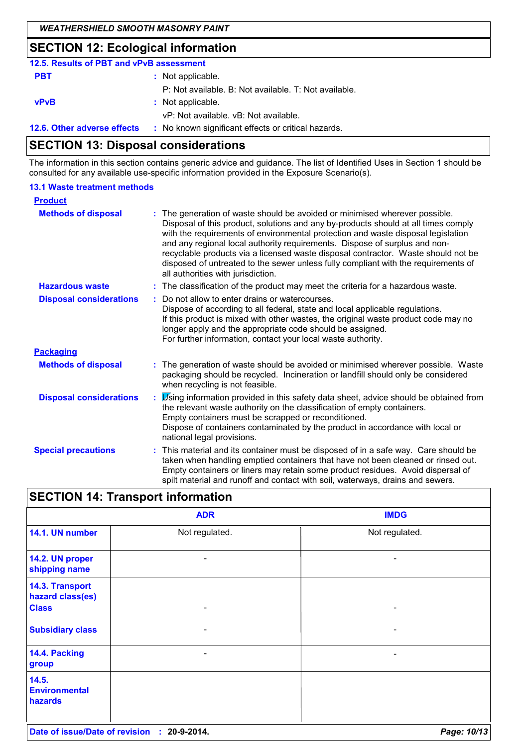## **SECTION 12: Ecological information**

| 12.5. Results of PBT and vPvB assessment |                                                       |
|------------------------------------------|-------------------------------------------------------|
| <b>PBT</b>                               | : Not applicable.                                     |
|                                          | P: Not available. B: Not available. T: Not available. |
| <b>vPvB</b>                              | : Not applicable.                                     |
|                                          | vP: Not available, vB: Not available.                 |
| 12.6. Other adverse effects              | : No known significant effects or critical hazards.   |

## **SECTION 13: Disposal considerations**

The information in this section contains generic advice and guidance. The list of Identified Uses in Section 1 should be consulted for any available use-specific information provided in the Exposure Scenario(s).

### **13.1 Waste treatment methods**

| <b>Product</b>                 |                                                                                                                                                                                                                                                                                                                                                                                                                                                                                                                                                    |
|--------------------------------|----------------------------------------------------------------------------------------------------------------------------------------------------------------------------------------------------------------------------------------------------------------------------------------------------------------------------------------------------------------------------------------------------------------------------------------------------------------------------------------------------------------------------------------------------|
| <b>Methods of disposal</b>     | The generation of waste should be avoided or minimised wherever possible.<br>Disposal of this product, solutions and any by-products should at all times comply<br>with the requirements of environmental protection and waste disposal legislation<br>and any regional local authority requirements. Dispose of surplus and non-<br>recyclable products via a licensed waste disposal contractor. Waste should not be<br>disposed of untreated to the sewer unless fully compliant with the requirements of<br>all authorities with jurisdiction. |
| <b>Hazardous waste</b>         | : The classification of the product may meet the criteria for a hazardous waste.                                                                                                                                                                                                                                                                                                                                                                                                                                                                   |
| <b>Disposal considerations</b> | Do not allow to enter drains or watercourses.<br>Dispose of according to all federal, state and local applicable regulations.<br>If this product is mixed with other wastes, the original waste product code may no<br>longer apply and the appropriate code should be assigned.<br>For further information, contact your local waste authority.                                                                                                                                                                                                   |
| <b>Packaging</b>               |                                                                                                                                                                                                                                                                                                                                                                                                                                                                                                                                                    |
| <b>Methods of disposal</b>     | The generation of waste should be avoided or minimised wherever possible. Waste<br>packaging should be recycled. Incineration or landfill should only be considered<br>when recycling is not feasible.                                                                                                                                                                                                                                                                                                                                             |
| <b>Disposal considerations</b> | Using information provided in this safety data sheet, advice should be obtained from<br>the relevant waste authority on the classification of empty containers.<br>Empty containers must be scrapped or reconditioned.<br>Dispose of containers contaminated by the product in accordance with local or<br>national legal provisions.                                                                                                                                                                                                              |
| <b>Special precautions</b>     | This material and its container must be disposed of in a safe way. Care should be<br>taken when handling emptied containers that have not been cleaned or rinsed out.<br>Empty containers or liners may retain some product residues. Avoid dispersal of<br>spilt material and runoff and contact with soil, waterways, drains and sewers.                                                                                                                                                                                                         |

|                                                     | <b>ADR</b>     | <b>IMDG</b>    |
|-----------------------------------------------------|----------------|----------------|
| 14.1. UN number                                     | Not regulated. | Not regulated. |
| 14.2. UN proper<br>shipping name                    |                |                |
| 14.3. Transport<br>hazard class(es)<br><b>Class</b> |                |                |
| <b>Subsidiary class</b>                             | -              | -              |
| 14.4. Packing<br>group                              |                |                |
| 14.5.<br><b>Environmental</b><br>hazards            |                |                |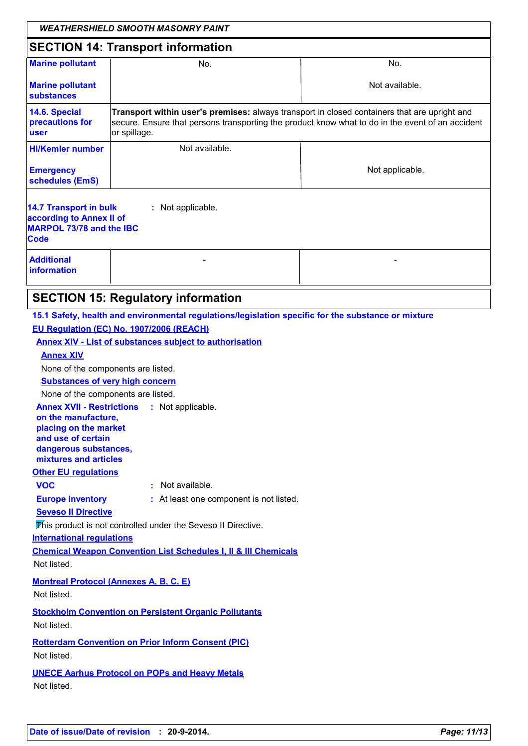|                                                                                                                                                                                                                                                                                                                                                                                                                                                                                                                                                                                                                                                                                                                                                                                                                                                                                                                  | <b>WEATHERSHIELD SMOOTH MASONRY PAINT</b>                                                                                                                                                                        |                 |  |  |  |
|------------------------------------------------------------------------------------------------------------------------------------------------------------------------------------------------------------------------------------------------------------------------------------------------------------------------------------------------------------------------------------------------------------------------------------------------------------------------------------------------------------------------------------------------------------------------------------------------------------------------------------------------------------------------------------------------------------------------------------------------------------------------------------------------------------------------------------------------------------------------------------------------------------------|------------------------------------------------------------------------------------------------------------------------------------------------------------------------------------------------------------------|-----------------|--|--|--|
|                                                                                                                                                                                                                                                                                                                                                                                                                                                                                                                                                                                                                                                                                                                                                                                                                                                                                                                  | <b>SECTION 14: Transport information</b>                                                                                                                                                                         |                 |  |  |  |
| <b>Marine pollutant</b>                                                                                                                                                                                                                                                                                                                                                                                                                                                                                                                                                                                                                                                                                                                                                                                                                                                                                          | No.                                                                                                                                                                                                              | No.             |  |  |  |
| <b>Marine pollutant</b><br>substances                                                                                                                                                                                                                                                                                                                                                                                                                                                                                                                                                                                                                                                                                                                                                                                                                                                                            |                                                                                                                                                                                                                  | Not available.  |  |  |  |
| 14.6. Special<br>precautions for<br>user                                                                                                                                                                                                                                                                                                                                                                                                                                                                                                                                                                                                                                                                                                                                                                                                                                                                         | Transport within user's premises: always transport in closed containers that are upright and<br>secure. Ensure that persons transporting the product know what to do in the event of an accident<br>or spillage. |                 |  |  |  |
| <b>HI/Kemler number</b>                                                                                                                                                                                                                                                                                                                                                                                                                                                                                                                                                                                                                                                                                                                                                                                                                                                                                          | Not available.                                                                                                                                                                                                   |                 |  |  |  |
| <b>Emergency</b><br>schedules (EmS)                                                                                                                                                                                                                                                                                                                                                                                                                                                                                                                                                                                                                                                                                                                                                                                                                                                                              |                                                                                                                                                                                                                  | Not applicable. |  |  |  |
| 14.7 Transport in bulk<br>according to Annex II of<br><b>MARPOL 73/78 and the IBC</b><br><b>Code</b><br><b>Additional</b><br><b>information</b>                                                                                                                                                                                                                                                                                                                                                                                                                                                                                                                                                                                                                                                                                                                                                                  | : Not applicable.                                                                                                                                                                                                |                 |  |  |  |
|                                                                                                                                                                                                                                                                                                                                                                                                                                                                                                                                                                                                                                                                                                                                                                                                                                                                                                                  | <b>SECTION 15: Regulatory information</b>                                                                                                                                                                        |                 |  |  |  |
| 15.1 Safety, health and environmental regulations/legislation specific for the substance or mixture<br>EU Regulation (EC) No. 1907/2006 (REACH)<br><b>Annex XIV - List of substances subject to authorisation</b><br><b>Annex XIV</b><br>None of the components are listed.<br><b>Substances of very high concern</b><br>None of the components are listed.<br><b>Annex XVII - Restrictions : Not applicable.</b><br>on the manufacture,<br>placing on the market<br>and use of certain<br>dangerous substances,<br>mixtures and articles<br><b>Other EU regulations</b><br>: Not available.<br><b>VOC</b><br><b>Europe inventory</b><br>: At least one component is not listed.<br><b>Seveso II Directive</b><br>This product is not controlled under the Seveso II Directive.<br><b>International regulations</b><br><b>Chemical Weapon Convention List Schedules I, II &amp; III Chemicals</b><br>Not listed. |                                                                                                                                                                                                                  |                 |  |  |  |
| Not listed.<br>Not listed.<br>Not listed.                                                                                                                                                                                                                                                                                                                                                                                                                                                                                                                                                                                                                                                                                                                                                                                                                                                                        | <b>Montreal Protocol (Annexes A, B, C, E)</b><br><b>Stockholm Convention on Persistent Organic Pollutants</b><br><b>Rotterdam Convention on Prior Inform Consent (PIC)</b>                                       |                 |  |  |  |
| Not listed.                                                                                                                                                                                                                                                                                                                                                                                                                                                                                                                                                                                                                                                                                                                                                                                                                                                                                                      | <b>UNECE Aarhus Protocol on POPs and Heavy Metals</b>                                                                                                                                                            |                 |  |  |  |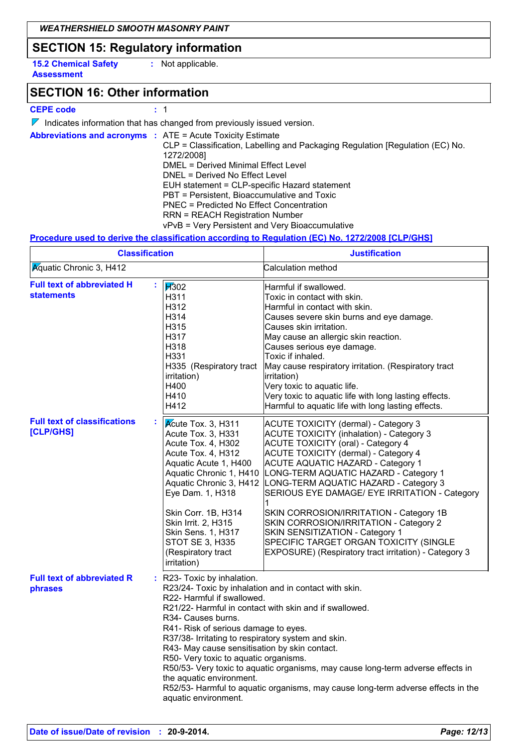## **SECTION 15: Regulatory information**

**15.2 Chemical Safety Assessment**

**:** Not applicable.

## **SECTION 16: Other information**

### **CEPE code :** 1

 $\nabla$  Indicates information that has changed from previously issued version.

|  | <b>Abbreviations and acronyms : ATE = Acute Toxicity Estimate</b>                |
|--|----------------------------------------------------------------------------------|
|  | $CLP = Classification$ , Labelling and Packaging Regulation [Regulation (EC) No. |
|  | 1272/2008]                                                                       |
|  | DMEL = Derived Minimal Effect Level                                              |
|  | DNEL = Derived No Effect Level                                                   |
|  | EUH statement = CLP-specific Hazard statement                                    |
|  | PBT = Persistent, Bioaccumulative and Toxic                                      |
|  | <b>PNEC</b> = Predicted No Effect Concentration                                  |
|  | <b>RRN = REACH Registration Number</b>                                           |
|  | vPvB = Very Persistent and Very Bioaccumulative                                  |

### **Procedure used to derive the classification according to Regulation (EC) No. 1272/2008 [CLP/GHS]**

| <b>Classification</b><br><b>Aguatic Chronic 3, H412</b> |                                                                                                                                                                                                                                                                                          | <b>Justification</b><br>Calculation method                                                                                                                                                                                                                                                                                                                                                                                                                                                                                                                                                                                    |  |
|---------------------------------------------------------|------------------------------------------------------------------------------------------------------------------------------------------------------------------------------------------------------------------------------------------------------------------------------------------|-------------------------------------------------------------------------------------------------------------------------------------------------------------------------------------------------------------------------------------------------------------------------------------------------------------------------------------------------------------------------------------------------------------------------------------------------------------------------------------------------------------------------------------------------------------------------------------------------------------------------------|--|
|                                                         |                                                                                                                                                                                                                                                                                          |                                                                                                                                                                                                                                                                                                                                                                                                                                                                                                                                                                                                                               |  |
| <b>Full text of classifications</b><br><b>[CLP/GHS]</b> | Kcute Tox. 3, H311<br>Acute Tox. 3, H331<br>Acute Tox. 4, H302<br>Acute Tox. 4, H312<br>Aquatic Acute 1, H400<br>Aquatic Chronic 1, H410<br>Eye Dam. 1, H318<br>Skin Corr. 1B, H314<br>Skin Irrit. 2, H315<br>Skin Sens. 1, H317<br>STOT SE 3, H335<br>(Respiratory tract<br>irritation) | <b>ACUTE TOXICITY (dermal) - Category 3</b><br><b>ACUTE TOXICITY (inhalation) - Category 3</b><br><b>ACUTE TOXICITY (oral) - Category 4</b><br><b>ACUTE TOXICITY (dermal) - Category 4</b><br><b>ACUTE AQUATIC HAZARD - Category 1</b><br>LONG-TERM AQUATIC HAZARD - Category 1<br>Aquatic Chronic 3, H412  LONG-TERM AQUATIC HAZARD - Category 3<br>SERIOUS EYE DAMAGE/ EYE IRRITATION - Category<br>SKIN CORROSION/IRRITATION - Category 1B<br>SKIN CORROSION/IRRITATION - Category 2<br>SKIN SENSITIZATION - Category 1<br>SPECIFIC TARGET ORGAN TOXICITY (SINGLE<br>EXPOSURE) (Respiratory tract irritation) - Category 3 |  |
| <b>Full text of abbreviated R</b><br>phrases            | : R23- Toxic by inhalation.<br>R <sub>34</sub> - Causes burns.<br>the aquatic environment.<br>aquatic environment.                                                                                                                                                                       | R23/24- Toxic by inhalation and in contact with skin.<br>R22- Harmful if swallowed.<br>R21/22- Harmful in contact with skin and if swallowed.<br>R41- Risk of serious damage to eyes.<br>R37/38- Irritating to respiratory system and skin.<br>R43- May cause sensitisation by skin contact.<br>R50- Very toxic to aquatic organisms.<br>R50/53- Very toxic to aquatic organisms, may cause long-term adverse effects in<br>R52/53- Harmful to aquatic organisms, may cause long-term adverse effects in the                                                                                                                  |  |